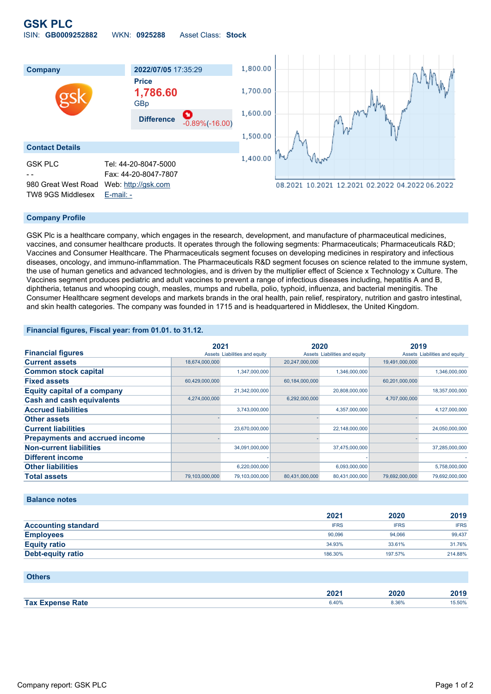# **GSK PLC** ISIN: **GB0009252882** WKN: **0925288** Asset Class: **Stock**



## **Company Profile**

GSK Plc is a healthcare company, which engages in the research, development, and manufacture of pharmaceutical medicines, vaccines, and consumer healthcare products. It operates through the following segments: Pharmaceuticals; Pharmaceuticals R&D; Vaccines and Consumer Healthcare. The Pharmaceuticals segment focuses on developing medicines in respiratory and infectious diseases, oncology, and immuno-inflammation. The Pharmaceuticals R&D segment focuses on science related to the immune system, the use of human genetics and advanced technologies, and is driven by the multiplier effect of Science x Technology x Culture. The Vaccines segment produces pediatric and adult vaccines to prevent a range of infectious diseases including, hepatitis A and B, diphtheria, tetanus and whooping cough, measles, mumps and rubella, polio, typhoid, influenza, and bacterial meningitis. The Consumer Healthcare segment develops and markets brands in the oral health, pain relief, respiratory, nutrition and gastro intestinal, and skin health categories. The company was founded in 1715 and is headquartered in Middlesex, the United Kingdom.

## **Financial figures, Fiscal year: from 01.01. to 31.12.**

|                                       | 2021           |                               | 2020           |                               | 2019           |                               |
|---------------------------------------|----------------|-------------------------------|----------------|-------------------------------|----------------|-------------------------------|
| <b>Financial figures</b>              |                | Assets Liabilities and equity |                | Assets Liabilities and equity |                | Assets Liabilities and equity |
| <b>Current assets</b>                 | 18,674,000,000 |                               | 20,247,000,000 |                               | 19,491,000,000 |                               |
| <b>Common stock capital</b>           |                | 1,347,000,000                 |                | 1,346,000,000                 |                | 1,346,000,000                 |
| <b>Fixed assets</b>                   | 60,429,000,000 |                               | 60,184,000,000 |                               | 60,201,000,000 |                               |
| <b>Equity capital of a company</b>    |                | 21,342,000,000                |                | 20,808,000,000                |                | 18,357,000,000                |
| <b>Cash and cash equivalents</b>      | 4,274,000,000  |                               | 6,292,000,000  |                               | 4,707,000,000  |                               |
| <b>Accrued liabilities</b>            |                | 3,743,000,000                 |                | 4,357,000,000                 |                | 4,127,000,000                 |
| <b>Other assets</b>                   |                |                               |                |                               |                |                               |
| <b>Current liabilities</b>            |                | 23,670,000,000                |                | 22,148,000,000                |                | 24,050,000,000                |
| <b>Prepayments and accrued income</b> |                |                               |                |                               |                |                               |
| <b>Non-current liabilities</b>        |                | 34,091,000,000                |                | 37,475,000,000                |                | 37,285,000,000                |
| <b>Different income</b>               |                |                               |                |                               |                |                               |
| <b>Other liabilities</b>              |                | 6,220,000,000                 |                | 6,093,000,000                 |                | 5,758,000,000                 |
| <b>Total assets</b>                   | 79,103,000,000 | 79,103,000,000                | 80,431,000,000 | 80,431,000,000                | 79,692,000,000 | 79,692,000,000                |

## **Balance notes**

|                            | 2021        | 2020        | 2019        |
|----------------------------|-------------|-------------|-------------|
| <b>Accounting standard</b> | <b>IFRS</b> | <b>IFRS</b> | <b>IFRS</b> |
| <b>Employees</b>           | 90.096      | 94.066      | 99,437      |
| <b>Equity ratio</b>        | 34.93%      | 33.61%      | 31.76%      |
| <b>Debt-equity ratio</b>   | 186.30%     | 197.57%     | 214.88%     |

#### **Others**

|                           | nnn.<br>ZVZ I | ----<br>יהי<br>2020<br>$   -$ | 20 I J |
|---------------------------|---------------|-------------------------------|--------|
| <b>Tax</b><br><b>Pate</b> | 6.40%         | 8.36%                         | 15.50% |